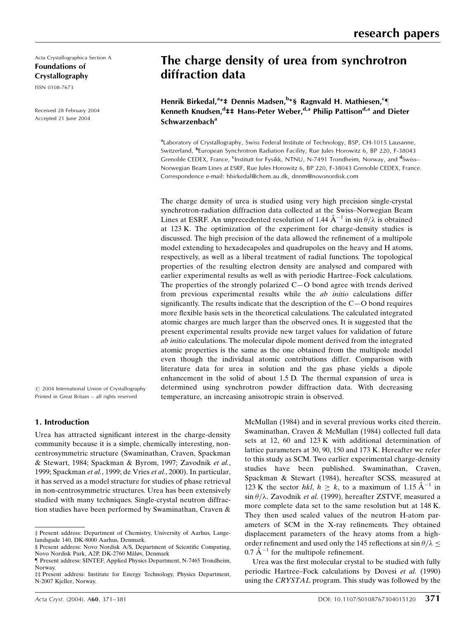Acta Crystallographica Section A Foundations of Crystallography

ISSN 0108-7673

Received 28 February 2004 Accepted 21 June 2004

# The charge density of urea from synchrotron diffraction data

Henrik Birkedal,<sup>a</sup>\*‡ Dennis Madsen,<sup>b</sup>\*§ Ragnvald H. Mathiesen,<sup>c</sup>¶ Kenneth Knudsen,<sup>d</sup>‡‡ Hans-Peter Weber,<sup>d,a</sup> Philip Pattison<sup>d,a</sup> and Dieter  $Schwarzenbach<sup>a</sup>$ 

<sup>a</sup>Laboratory of Crystallography, Swiss Federal Institute of Technology, BSP, CH-1015 Lausanne, Switzerland, <sup>b</sup>European Synchrotron Radiation Facility, Rue Jules Horowitz 6, BP 220, F-38043 Grenoble CEDEX, France, <sup>c</sup>Institutt for Fysikk, NTNU, N-7491 Trondheim, Norway, and <sup>d</sup>Swiss– Norwegian Beam Lines at ESRF, Rue Jules Horowitz 6, BP 220, F-38043 Grenoble CEDEX, France. Correspondence e-mail: hbirkedal@chem.au.dk, dnnm@novonordisk.com

The charge density of urea is studied using very high precision single-crystal synchrotron-radiation diffraction data collected at the Swiss-Norwegian Beam Lines at ESRF. An unprecedented resolution of 1.44  $\AA^{-1}$  in sin  $\theta/\lambda$  is obtained at 123 K. The optimization of the experiment for charge-density studies is discussed. The high precision of the data allowed the refinement of a multipole model extending to hexadecapoles and quadrupoles on the heavy and H atoms, respectively, as well as a liberal treatment of radial functions. The topological properties of the resulting electron density are analysed and compared with earlier experimental results as well as with periodic Hartree-Fock calculations. The properties of the strongly polarized  $C-O$  bond agree with trends derived from previous experimental results while the ab initio calculations differ significantly. The results indicate that the description of the  $C-O$  bond requires more flexible basis sets in the theoretical calculations. The calculated integrated atomic charges are much larger than the observed ones. It is suggested that the present experimental results provide new target values for validation of future ab initio calculations. The molecular dipole moment derived from the integrated atomic properties is the same as the one obtained from the multipole model even though the individual atomic contributions differ. Comparison with literature data for urea in solution and the gas phase yields a dipole enhancement in the solid of about 1.5 D. The thermal expansion of urea is determined using synchrotron powder diffraction data. With decreasing temperature, an increasing anisotropic strain is observed.

 $\circ$  2004 International Union of Crystallography Printed in Great Britain - all rights reserved

## 1. Introduction

Urea has attracted significant interest in the charge-density community because it is a simple, chemically interesting, noncentrosymmetric structure (Swaminathan, Craven, Spackman & Stewart, 1984; Spackman & Byrom, 1997; Zavodnik et al., 1999; Spackman et al., 1999; de Vries et al., 2000). In particular, it has served as a model structure for studies of phase retrieval in non-centrosymmetric structures. Urea has been extensively studied with many techniques. Single-crystal neutron diffraction studies have been performed by Swaminathan, Craven & McMullan (1984) and in several previous works cited therein. Swaminathan, Craven & McMullan (1984) collected full data sets at 12, 60 and 123 K with additional determination of lattice parameters at 30, 90, 150 and 173 K. Hereafter we refer to this study as SCM. Two earlier experimental charge-density studies have been published. Swaminathan, Craven, Spackman & Stewart (1984), hereafter SCSS, measured at 123 K the sector hkl,  $h \ge k$ , to a maximum of 1.15  $A^{-1}$  in  $\sin \theta / \lambda$ . Zavodnik et al. (1999), hereafter ZSTVF, measured a more complete data set to the same resolution but at 148 K. They then used scaled values of the neutron H-atom parameters of SCM in the X-ray refinements. They obtained displacement parameters of the heavy atoms from a highorder refinement and used only the 145 reflections at sin  $\theta/\lambda$  <  $0.7 \text{ Å}^{-1}$  for the multipole refinement.

Urea was the first molecular crystal to be studied with fully periodic Hartree-Fock calculations by Dovesi et al. (1990) using the CRYSTAL program. This study was followed by the

³ Present address: Department of Chemistry, University of Aarhus, Langelandsgade 140, DK-8000 Aarhus, Denmark.

<sup>§</sup> Present address: Novo Nordisk A/S, Department of Scientific Computing, Novo Nordisk Park, A2P, DK-2760 Måløv, Denmark

<sup>}</sup> Present address: SINTEF, Applied Physics Department, N-7465 Trondheim, Norway.

<sup>##</sup> Present address: Institute for Energy Technology, Physics Department, N-2007 Kjeller, Norway.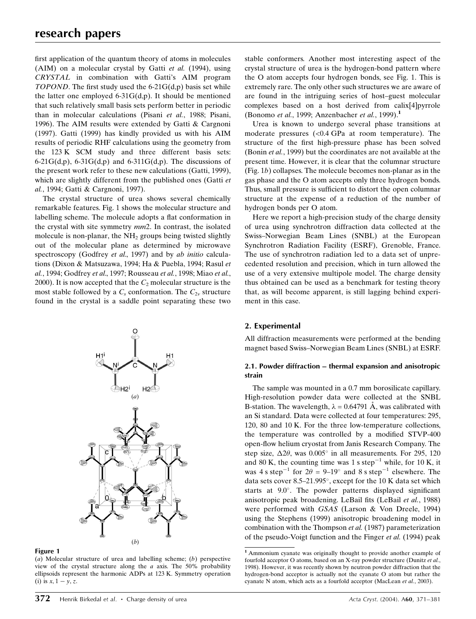first application of the quantum theory of atoms in molecules (AIM) on a molecular crystal by Gatti et al. (1994), using CRYSTAL in combination with Gatti's AIM program TOPOND. The first study used the  $6-21G(d,p)$  basis set while the latter one employed  $6-31G(d,p)$ . It should be mentioned that such relatively small basis sets perform better in periodic than in molecular calculations (Pisani et al., 1988; Pisani, 1996). The AIM results were extended by Gatti & Cargnoni (1997). Gatti (1999) has kindly provided us with his AIM results of periodic RHF calculations using the geometry from the 123 K SCM study and three different basis sets:  $6-21G(d,p)$ ,  $6-31G(d,p)$  and  $6-311G(d,p)$ . The discussions of the present work refer to these new calculations (Gatti, 1999), which are slightly different from the published ones (Gatti et al., 1994; Gatti & Cargnoni, 1997).

The crystal structure of urea shows several chemically remarkable features. Fig. 1 shows the molecular structure and labelling scheme. The molecule adopts a flat conformation in the crystal with site symmetry mm2. In contrast, the isolated molecule is non-planar, the  $NH<sub>2</sub>$  groups being twisted slightly out of the molecular plane as determined by microwave spectroscopy (Godfrey et al., 1997) and by ab initio calculations (Dixon & Matsuzawa, 1994; Ha & Puebla, 1994; Rasul et al., 1994; Godfrey et al., 1997; Rousseau et al., 1998; Miao et al., 2000). It is now accepted that the  $C_2$  molecular structure is the most stable followed by a  $C_s$  conformation. The  $C_{2v}$  structure found in the crystal is a saddle point separating these two





(a) Molecular structure of urea and labelling scheme; (b) perspective view of the crystal structure along the  $a$  axis. The 50% probability ellipsoids represent the harmonic ADPs at 123 K. Symmetry operation (i) is  $x, 1 - y, z$ .

stable conformers. Another most interesting aspect of the crystal structure of urea is the hydrogen-bond pattern where the O atom accepts four hydrogen bonds, see Fig. 1. This is extremely rare. The only other such structures we are aware of are found in the intriguing series of host-guest molecular complexes based on a host derived from calix[4]pyrrole (Bonomo et al., 1999; Anzenbacher et al., 1999).<sup>1</sup>

Urea is known to undergo several phase transitions at moderate pressures (<0.4 GPa at room temperature). The structure of the first high-pressure phase has been solved (Bonin et al., 1999) but the coordinates are not available at the present time. However, it is clear that the columnar structure (Fig. 1b) collapses. The molecule becomes non-planar as in the gas phase and the O atom accepts only three hydrogen bonds. Thus, small pressure is sufficient to distort the open columnar structure at the expense of a reduction of the number of hydrogen bonds per O atom.

Here we report a high-precision study of the charge density of urea using synchrotron diffraction data collected at the Swiss-Norwegian Beam Lines (SNBL) at the European Synchrotron Radiation Facility (ESRF), Grenoble, France. The use of synchrotron radiation led to a data set of unprecedented resolution and precision, which in turn allowed the use of a very extensive multipole model. The charge density thus obtained can be used as a benchmark for testing theory that, as will become apparent, is still lagging behind experiment in this case.

## 2. Experimental

All diffraction measurements were performed at the bending magnet based Swiss-Norwegian Beam Lines (SNBL) at ESRF.

## 2.1. Powder diffraction – thermal expansion and anisotropic strain

The sample was mounted in a 0.7 mm borosilicate capillary. High-resolution powder data were collected at the SNBL B-station. The wavelength,  $\lambda = 0.64791$  Å, was calibrated with an Si standard. Data were collected at four temperatures: 295, 120, 80 and 10 K. For the three low-temperature collections, the temperature was controlled by a modified STVP-400 open-flow helium cryostat from Janis Research Company. The step size,  $\Delta 2\theta$ , was  $0.005^{\circ}$  in all measurements. For 295, 120 and 80 K, the counting time was 1 s step<sup>-1</sup> while, for 10 K, it was 4 s step<sup>-1</sup> for  $2\theta = 9-19^\circ$  and 8 s step<sup>-1</sup> elsewhere. The data sets cover 8.5 $-21.995^{\circ}$ , except for the 10 K data set which starts at  $9.0^\circ$ . The powder patterns displayed significant anisotropic peak broadening. LeBail fits (LeBail et al., 1988) were performed with GSAS (Larson & Von Dreele, 1994) using the Stephens (1999) anisotropic broadening model in combination with the Thompson et al. (1987) parameterization of the pseudo-Voigt function and the Finger et al. (1994) peak

<sup>1</sup> Ammonium cyanate was originally thought to provide another example of fourfold acceptor O atoms, based on an X-ray powder structure (Dunitz et al., 1998). However, it was recently shown by neutron powder diffraction that the hydrogen-bond acceptor is actually not the cyanate O atom but rather the cyanate N atom, which acts as a fourfold acceptor (MacLean et al., 2003).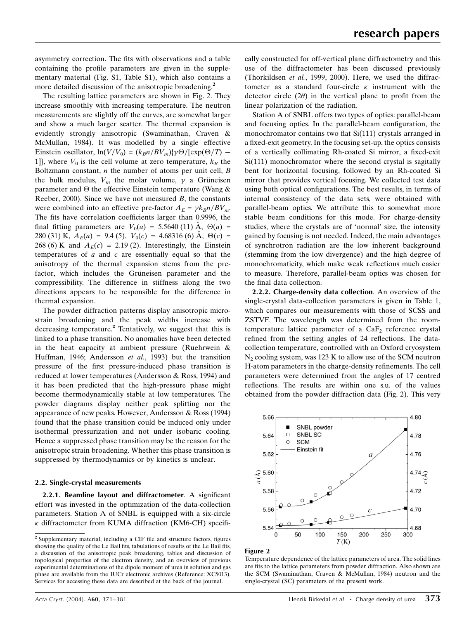asymmetry correction. The fits with observations and a table containing the profile parameters are given in the supplementary material (Fig. S1, Table S1), which also contains a more detailed discussion of the anisotropic broadening.<sup>2</sup>

The resulting lattice parameters are shown in Fig. 2. They increase smoothly with increasing temperature. The neutron measurements are slightly off the curves, are somewhat larger and show a much larger scatter. The thermal expansion is evidently strongly anisotropic (Swaminathan, Craven & McMullan, 1984). It was modelled by a single effective Einstein oscillator,  $\ln(V/V_0) = (k_B n/BV_m)\{\gamma\Theta/[\exp(\Theta/T) -$ 1], where  $V_0$  is the cell volume at zero temperature,  $k_B$  the Boltzmann constant,  $n$  the number of atoms per unit cell,  $B$ the bulk modulus,  $V_m$  the molar volume,  $\gamma$  a Grüneisen parameter and  $\Theta$  the effective Einstein temperature (Wang & Reeber, 2000). Since we have not measured  $B$ , the constants were combined into an effective pre-factor  $A_E = \gamma k_B n / BV_m$ . The fits have correlation coefficients larger than 0.9996, the final fitting parameters are  $V_0(a) = 5.5640 \,(11) \,\text{\AA}$ ,  $\Theta(a) =$ 280 (31) K,  $A_E(a) = 9.4$  (5),  $V_0(c) = 4.68316$  (6) Å,  $\Theta(c) =$ 268 (6) K and  $A_E(c) = 2.19$  (2). Interestingly, the Einstein temperatures of  $a$  and  $c$  are essentially equal so that the anisotropy of the thermal expansion stems from the prefactor, which includes the Grüneisen parameter and the compressibility. The difference in stiffness along the two directions appears to be responsible for the difference in thermal expansion.

The powder diffraction patterns display anisotropic microstrain broadening and the peak widths increase with decreasing temperature.<sup>2</sup> Tentatively, we suggest that this is linked to a phase transition. No anomalies have been detected in the heat capacity at ambient pressure (Ruehrwein & Huffman, 1946; Andersson et al., 1993) but the transition pressure of the first pressure-induced phase transition is reduced at lower temperatures (Andersson & Ross, 1994) and it has been predicted that the high-pressure phase might become thermodynamically stable at low temperatures. The powder diagrams display neither peak splitting nor the appearance of new peaks. However, Andersson & Ross (1994) found that the phase transition could be induced only under isothermal pressurization and not under isobaric cooling. Hence a suppressed phase transition may be the reason for the anisotropic strain broadening. Whether this phase transition is suppressed by thermodynamics or by kinetics is unclear.

## 2.2. Single-crystal measurements

2.2.1. Beamline layout and diffractometer. A significant effort was invested in the optimization of the data-collection parameters. Station A of SNBL is equipped with a six-circle  $\kappa$  diffractometer from KUMA diffraction (KM6-CH) specifically constructed for off-vertical plane diffractometry and this use of the diffractometer has been discussed previously (Thorkildsen et al., 1999, 2000). Here, we used the diffractometer as a standard four-circle  $\kappa$  instrument with the detector circle  $(2\theta)$  in the vertical plane to profit from the linear polarization of the radiation.

Station A of SNBL offers two types of optics: parallel-beam and focusing optics. In the parallel-beam configuration, the monochromator contains two flat  $Si(111)$  crystals arranged in a fixed-exit geometry. In the focusing set-up, the optics consists of a vertically collimating Rh-coated Si mirror, a fixed-exit Si(111) monochromator where the second crystal is sagitally bent for horizontal focusing, followed by an Rh-coated Si mirror that provides vertical focusing. We collected test data using both optical configurations. The best results, in terms of internal consistency of the data sets, were obtained with parallel-beam optics. We attribute this to somewhat more stable beam conditions for this mode. For charge-density studies, where the crystals are of `normal' size, the intensity gained by focusing is not needed. Indeed, the main advantages of synchrotron radiation are the low inherent background (stemming from the low divergence) and the high degree of monochromaticity, which make weak reflections much easier to measure. Therefore, parallel-beam optics was chosen for the final data collection.

2.2.2. Charge-density data collection. An overview of the single-crystal data-collection parameters is given in Table 1, which compares our measurements with those of SCSS and ZSTVF. The wavelength was determined from the roomtemperature lattice parameter of a  $CaF<sub>2</sub>$  reference crystal refined from the setting angles of 24 reflections. The datacollection temperature, controlled with an Oxford cryosystem  $N<sub>2</sub>$  cooling system, was 123 K to allow use of the SCM neutron H-atom parameters in the charge-density refinements. The cell parameters were determined from the angles of 17 centred reflections. The results are within one s.u. of the values obtained from the powder diffraction data (Fig. 2). This very



### Figure 2

Temperature dependence of the lattice parameters of urea. The solid lines are fits to the lattice parameters from powder diffraction. Also shown are the SCM (Swaminathan, Craven & McMullan, 1984) neutron and the single-crystal (SC) parameters of the present work.

 $2$  Supplementary material, including a CIF file and structure factors, figures showing the quality of the Le Bail fits, tabulations of results of the Le Bail fits, a discussion of the anisotropic peak broadening, tables and discussion of topological properties of the electron density, and an overview of previous experimental determinations of the dipole moment of urea in solution and gas phase are available from the IUCr electronic archives (Reference: XC5013). Services for accessing these data are described at the back of the journal.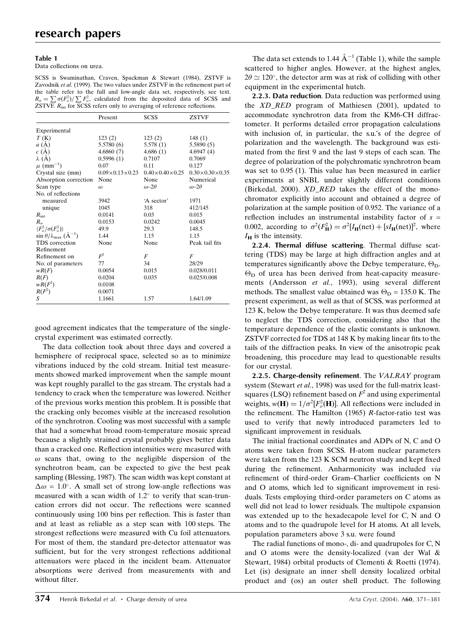Data collections on urea.

SCSS is Swaminathan, Craven, Spackman & Stewart (1984), ZSTVF is Zavodnik et al. (1999). The two values under ZSTVF in the refinement part of the table refer to the full and low-angle data set, respectively, see text.  $R_{\sigma} = \sum \sigma(F_o^2) / \sum F_o^2$ , calculated from the deposited data of SCSS and  $ZSTVF$ .  $R_{int}$  for  $SCSS$  refers only to averaging of reference reflections.

|                                                                                              | Present                    | <b>SCSS</b>                | <b>ZSTVF</b>               |
|----------------------------------------------------------------------------------------------|----------------------------|----------------------------|----------------------------|
| Experimental                                                                                 |                            |                            |                            |
| T(K)                                                                                         | 123(2)                     | 123(2)                     | 148(1)                     |
| a(A)                                                                                         | 5.5780(6)                  | 5.578(1)                   | 5.5890(5)                  |
| c(A)                                                                                         | 4.6860(7)                  | 4.686(1)                   | 4.6947(4)                  |
| $\lambda(A)$                                                                                 | 0.5996(1)                  | 0.7107                     | 0.7069                     |
| $\mu$ (mm <sup>-1</sup> )                                                                    | 0.07                       | 0.11                       | 0.127                      |
| Crystal size (mm)                                                                            | $0.09\times0.13\times0.23$ | $0.40\times0.40\times0.25$ | $0.30\times0.30\times0.35$ |
| Absorption correction                                                                        | None                       | None                       | Numerical                  |
| Scan type                                                                                    | $\omega$                   | $\omega$ -2 $\theta$       | $\omega$ -2 $\theta$       |
| No. of reflections                                                                           |                            |                            |                            |
| measured                                                                                     | 3942                       | 'A sector'                 | 1971                       |
| unique                                                                                       | 1045                       | 318                        | 412/145                    |
| $R_{\rm int}$                                                                                | 0.0141                     | 0.03                       | 0.015                      |
| $R_{\sigma}$                                                                                 | 0.0153                     | 0.0242                     | 0.0045                     |
|                                                                                              | 49.9                       | 29.3                       | 148.5                      |
| $\langle F_o^2/\sigma(F_o^2)\rangle$<br>sin $\theta/\lambda_{\text{max}}$ (Å <sup>-1</sup> ) | 1.44                       | 1.15                       | 1.15                       |
| TDS correction                                                                               | None                       | None                       | Peak tail fits             |
| Refinement                                                                                   |                            |                            |                            |
| Refinement on                                                                                | $F^2$                      | F                          | F                          |
| No. of parameters                                                                            | 77                         | 34                         | 28/29                      |
| wR(F)                                                                                        | 0.0054                     | 0.015                      | 0.028/0.011                |
| R(F)                                                                                         | 0.0204                     | 0.035                      | 0.025/0.008                |
| $wR(F^2)$                                                                                    | 0.0108                     |                            |                            |
| $R(F^2)$                                                                                     | 0.0071                     |                            |                            |
| S                                                                                            | 1.1661                     | 1.57                       | 1.64/1.09                  |

good agreement indicates that the temperature of the singlecrystal experiment was estimated correctly.

The data collection took about three days and covered a hemisphere of reciprocal space, selected so as to minimize vibrations induced by the cold stream. Initial test measurements showed marked improvement when the sample mount was kept roughly parallel to the gas stream. The crystals had a tendency to crack when the temperature was lowered. Neither of the previous works mention this problem. It is possible that the cracking only becomes visible at the increased resolution of the synchrotron. Cooling was most successful with a sample that had a somewhat broad room-temperature mosaic spread because a slightly strained crystal probably gives better data than a cracked one. Reflection intensities were measured with  $\omega$  scans that, owing to the negligible dispersion of the synchrotron beam, can be expected to give the best peak sampling (Blessing, 1987). The scan width was kept constant at  $\Delta \omega = 1.0^{\circ}$ . A small set of strong low-angle reflections was measured with a scan width of  $1.2^{\circ}$  to verify that scan-truncation errors did not occur. The reflections were scanned continuously using 100 bins per reflection. This is faster than and at least as reliable as a step scan with 100 steps. The strongest reflections were measured with Cu foil attenuators. For most of them, the standard pre-detector attenuator was sufficient, but for the very strongest reflections additional attenuators were placed in the incident beam. Attenuator absorptions were derived from measurements with and without filter.

The data set extends to 1.44  $\AA^{-1}$  (Table 1), while the sample scattered to higher angles. However, at the highest angles,  $2\theta \simeq 120^{\circ}$ , the detector arm was at risk of colliding with other equipment in the experimental hutch.

2.2.3. Data reduction. Data reduction was performed using the XD\_RED program of Mathiesen (2001), updated to accommodate synchrotron data from the KM6-CH diffractometer. It performs detailed error propagation calculations with inclusion of, in particular, the s.u.'s of the degree of polarization and the wavelength. The background was estimated from the first 9 and the last 9 steps of each scan. The degree of polarization of the polychromatic synchrotron beam was set to 0.95 (1). This value has been measured in earlier experiments at SNBL under slightly different conditions (Birkedal, 2000). XD\_RED takes the effect of the monochromator explicitly into account and obtained a degree of polarization at the sample position of 0.952. The variance of a reflection includes an instrumental instability factor of  $s =$ 0.002, according to  $\sigma^2(F_H^2) = \sigma^2[I_H(\text{net}) + [sI_H(\text{net})]^2]$ , where  $I_H$  is the intensity.

2.2.4. Thermal diffuse scattering. Thermal diffuse scattering (TDS) may be large at high diffraction angles and at temperatures significantly above the Debye temperature,  $\Theta_{\text{D}}$ .  $\Theta_{\rm D}$  of urea has been derived from heat-capacity measurements (Andersson et al., 1993), using several different methods. The smallest value obtained was  $\Theta_{\rm D} = 135.0$  K. The present experiment, as well as that of SCSS, was performed at 123 K, below the Debye temperature. It was thus deemed safe to neglect the TDS correction, considering also that the temperature dependence of the elastic constants is unknown. ZSTVF corrected for TDS at 148 K by making linear fits to the tails of the diffraction peaks. In view of the anisotropic peak broadening, this procedure may lead to questionable results for our crystal.

2.2.5. Charge-density refinement. The VALRAY program system (Stewart et al., 1998) was used for the full-matrix leastsquares (LSQ) refinement based on  $F^2$  and using experimental weights,  $w(\mathbf{H}) = 1/\sigma^2 [F_o^2(\mathbf{H})]$ . All reflections were included in the refinement. The Hamilton (1965) R-factor-ratio test was used to verify that newly introduced parameters led to significant improvement in residuals.

The initial fractional coordinates and ADPs of N, C and O atoms were taken from SCSS. H-atom nuclear parameters were taken from the  $123 K$  SCM neutron study and kept fixed during the refinement. Anharmonicity was included via refinement of third-order Gram-Charlier coefficients on N and O atoms, which led to significant improvement in residuals. Tests employing third-order parameters on C atoms as well did not lead to lower residuals. The multipole expansion was extended up to the hexadecapole level for C, N and O atoms and to the quadrupole level for H atoms. At all levels, population parameters above 3 s.u. were found

The radial functions of mono-, di- and quadrupoles for C, N and O atoms were the density-localized (van der Wal & Stewart, 1984) orbital products of Clementi & Roetti (1974). Let (is) designate an inner shell density localized orbital product and (os) an outer shell product. The following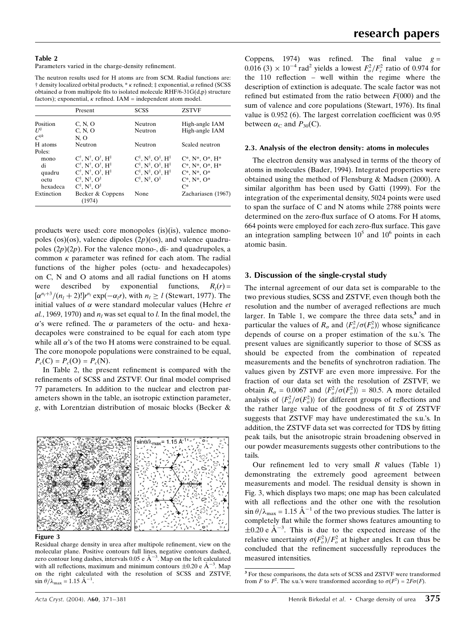Parameters varied in the charge-density refinement.

The neutron results used for H atoms are from SCM. Radial functions are:  $\dagger$  density localized orbital products,  $*\kappa$  refined;  $\ddagger$  exponential,  $\alpha$  refined (SCSS obtained  $\alpha$  from multipole fits to isolated molecule RHF/6-31G(d,p) structure factors); exponential,  $\kappa$  refined. IAM = independent atom model.

|                | Present                                                        | <b>SCSS</b>                                                       | <b>ZSTVF</b>                  |
|----------------|----------------------------------------------------------------|-------------------------------------------------------------------|-------------------------------|
| Position       | C, N, O                                                        | Neutron                                                           | High-angle IAM                |
| $I^{jj}$       | C, N, O                                                        | Neutron                                                           | High-angle IAM                |
| $\overline{C}$ | N.O                                                            |                                                                   |                               |
| H atoms        | Neutron                                                        | Neutron                                                           | Scaled neutron                |
| Poles:         |                                                                |                                                                   |                               |
| mono           | $C^{\dagger}$ , $N^{\dagger}$ , $O^{\dagger}$ , $H^{\ddagger}$ | $C^{\ddagger}$ , $N^{\ddagger}$ , $O^{\ddagger}$ , $H^{\ddagger}$ | $C^*$ , $N^*$ , $O^*$ , $H^*$ |
| di             | $C^{\dagger}$ , $N^{\dagger}$ , $O^{\dagger}$ , $H^{\ddagger}$ | $C^{\ddagger}$ , $N^{\ddagger}$ , $O^{\ddagger}$ , $H^{\ddagger}$ | $C^*$ , $N^*$ , $O^*$ , $H^*$ |
| quadru         | $C^{\dagger}$ , $N^{\dagger}$ , $O^{\dagger}$ , $H^{\ddagger}$ | $C^{\ddagger}$ , $N^{\ddagger}$ , $O^{\ddagger}$ , $H^{\ddagger}$ | $C^*$ , $N^*$ , $O^*$         |
| octu           | $C^{\ddagger}$ , $N^{\ddagger}$ , $O^{\ddagger}$               | $C^{\ddagger}$ . $N^{\ddagger}$ . $O^{\ddagger}$                  | $C^*$ , $N^*$ , $O^*$         |
| hexadeca       | $C^{\ddagger}$ , $N^{\ddagger}$ , $O^{\ddagger}$               |                                                                   | $C^*$                         |
| Extinction     | Becker & Coppens<br>(1974)                                     | None                                                              | Zachariasen (1967)            |

products were used: core monopoles (is)(is), valence monopoles (os)(os), valence dipoles  $(2p)(os)$ , and valence quadrupoles  $(2p)(2p)$ . For the valence mono-, di- and quadrupoles, a common  $\kappa$  parameter was refined for each atom. The radial functions of the higher poles (octu- and hexadecapoles) on C, N and O atoms and all radial functions on H atoms were described by exponential functions,  $R_i(r) =$  $\left[\alpha^{n_l+3}/(n_l+2)!\right]r^{n_l} \exp(-\alpha_l r)$ , with  $n_l \geq l$  (Stewart, 1977). The initial values of  $\alpha$  were standard molecular values (Hehre *et* al., 1969, 1970) and  $n_l$  was set equal to l. In the final model, the  $\alpha$ 's were refined. The  $\alpha$  parameters of the octu- and hexadecapoles were constrained to be equal for each atom type while all  $\alpha$ 's of the two H atoms were constrained to be equal. The core monopole populations were constrained to be equal,  $P_c(C) = P_c(O) = P_c(N).$ 

In Table 2, the present refinement is compared with the refinements of SCSS and ZSTVF. Our final model comprised 77 parameters. In addition to the nuclear and electron parameters shown in the table, an isotropic extinction parameter, g, with Lorentzian distribution of mosaic blocks (Becker &



Figure 3

Residual charge density in urea after multipole refinement, view on the molecular plane. Positive contours full lines, negative contours dashed, zero contour long dashes, intervals 0.05 e  $\AA^{-3}$ . Map on the left calculated with all reflections, maximum and minimum contours  $\pm 0.20$  e  $\AA^{-3}$ . Map on the right calculated with the resolution of SCSS and ZSTVF,  $\sin \theta / \lambda_{\text{max}} = 1.15 \text{ \AA}^{-1}.$ 

Coppens, 1974) was refined. The final value  $g =$  $0.016$  (3)  $\times$   $10^{-4}$  rad<sup>2</sup> yields a lowest  $F_o^2/F_c^2$  ratio of 0.974 for the  $110$  reflection  $-$  well within the regime where the description of extinction is adequate. The scale factor was not refined but estimated from the ratio between  $F(000)$  and the sum of valence and core populations (Stewart, 1976). Its final value is  $0.952$  (6). The largest correlation coefficient was  $0.95$ between  $\alpha_C$  and  $P_{30}(C)$ .

#### 2.3. Analysis of the electron density: atoms in molecules

The electron density was analysed in terms of the theory of atoms in molecules (Bader, 1994). Integrated properties were obtained using the method of Flensburg & Madsen (2000). A similar algorithm has been used by Gatti (1999). For the integration of the experimental density, 5024 points were used to span the surface of C and N atoms while 2788 points were determined on the zero-flux surface of  $O$  atoms. For  $H$  atoms, 664 points were employed for each zero-flux surface. This gave an integration sampling between  $10^5$  and  $10^6$  points in each atomic basin.

#### 3. Discussion of the single-crystal study

The internal agreement of our data set is comparable to the two previous studies, SCSS and ZSTVF, even though both the resolution and the number of averaged reflections are much larger. In Table 1, we compare the three data sets, $3$  and in particular the values of  $R_{\sigma}$  and  $\langle F_o^2/\sigma(F_o^2) \rangle$  whose significance depends of course on a proper estimation of the s.u.'s. The present values are significantly superior to those of SCSS as should be expected from the combination of repeated measurements and the benefits of synchrotron radiation. The values given by ZSTVF are even more impressive. For the fraction of our data set with the resolution of ZSTVF, we obtain  $R_{\sigma} = 0.0067$  and  $\langle F_o^2/\sigma(F_o^2) \rangle = 80.5$ . A more detailed analysis of  $\langle F_o^2/\sigma(F_o^2)\rangle$  for different groups of reflections and the rather large value of the goodness of fit  $S$  of ZSTVF suggests that ZSTVF may have underestimated the s.u.'s. In addition, the ZSTVF data set was corrected for TDS by fitting peak tails, but the anisotropic strain broadening observed in our powder measurements suggests other contributions to the tails.

Our refinement led to very small  $R$  values (Table 1) demonstrating the extremely good agreement between measurements and model. The residual density is shown in Fig. 3, which displays two maps; one map has been calculated with all reflections and the other one with the resolution  $\sin \theta / \lambda_{\text{max}} = 1.15 \text{ Å}^{-1}$  of the two previous studies. The latter is completely flat while the former shows features amounting to  $\pm 0.20$  e  $\AA^{-3}$ . This is due to the expected increase of the relative uncertainty  $\sigma(F_o^2)/F_o^2$  at higher angles. It can thus be concluded that the refinement successfully reproduces the measured intensities.

<sup>3</sup> For these comparisons, the data sets of SCSS and ZSTVF were transformed from F to  $F^2$ . The s.u.'s were transformed according to  $\sigma(F^2) = 2F\sigma(F)$ .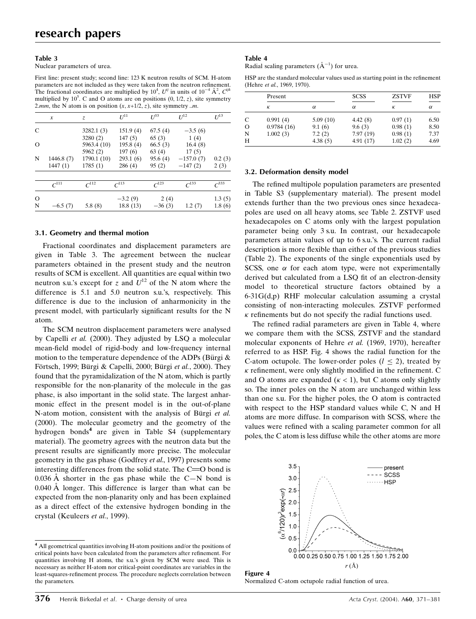Nuclear parameters of urea.

First line: present study; second line: 123 K neutron results of SCM. H-atom parameters are not included as they were taken from the neutron refinement. The fractional coordinates are multiplied by  $10^4$ ,  $U^{ij}$  in units of  $10^{-4}$   $\AA^2$ ,  $C^{ijk}$ multiplied by  $10^5$ . C and O atoms are on positions  $(0, 1/2, z)$ , site symmetry 2.mm, the N atom is on position  $(x, x+1/2, z)$ , site symmetry ..m.

|          | x          | Z.          | $I^{11}$            | $I^{33}$            | $I^{12}$            | $U^{13}$     |
|----------|------------|-------------|---------------------|---------------------|---------------------|--------------|
| C        |            | 3282.1(3)   | 151.9(4)            | 67.5(4)             | $-3.5(6)$           |              |
|          |            | 3280(2)     | 147(5)              | 65(3)               | 1(4)                |              |
| $\Omega$ |            | 5963.4 (10) | 195.8(4)            | 66.5(3)             | 16.4(8)             |              |
|          |            | 5962 $(2)$  | 197(6)              | 63(4)               | 17(5)               |              |
| N        | 1446.8 (7) | 1790.1 (10) | 293.1(6)            | 95.6(4)             | $-157.0(7)$         | 0.2(3)       |
|          | 1447(1)    | 1785(1)     | 286(4)              | 95(2)               | $-147(2)$           | 2(3)         |
|          | $C^{111}$  | $C^{112}$   | $\mathcal{C}^{113}$ | $\mathcal{C}^{123}$ | $\mathcal{C}^{133}$ | $\sqrt{333}$ |
| $\circ$  |            |             | $-3.2(9)$           | 2(4)                |                     | 1.3(5)       |
| N        | $-6.5(7)$  | 5.8(8)      | 18.8 (13)           | $-36(3)$            | 1.2(7)              | 1.8(6)       |

#### 3.1. Geometry and thermal motion

Fractional coordinates and displacement parameters are given in Table 3. The agreement between the nuclear parameters obtained in the present study and the neutron results of SCM is excellent. All quantities are equal within two neutron s.u.'s except for z and  $U^{12}$  of the N atom where the difference is 5.1 and 5.0 neutron s.u.'s, respectively. This difference is due to the inclusion of anharmonicity in the present model, with particularly significant results for the N atom.

The SCM neutron displacement parameters were analysed by Capelli et al. (2000). They adjusted by LSQ a molecular mean-field model of rigid-body and low-frequency internal motion to the temperature dependence of the ADPs (Bürgi  $\&$ Förtsch, 1999; Bürgi & Capelli, 2000; Bürgi et al., 2000). They found that the pyramidalization of the N atom, which is partly responsible for the non-planarity of the molecule in the gas phase, is also important in the solid state. The largest anharmonic effect in the present model is in the out-of-plane N-atom motion, consistent with the analysis of Bürgi et al. (2000). The molecular geometry and the geometry of the hydrogen bonds<sup>4</sup> are given in Table S4 (supplementary material). The geometry agrees with the neutron data but the present results are significantly more precise. The molecular geometry in the gas phase (Godfrey et al., 1997) presents some interesting differences from the solid state. The  $C = 0$  bond is 0.036 Å shorter in the gas phase while the C $-N$  bond is  $0.040 \text{ Å}$  longer. This difference is larger than what can be expected from the non-planarity only and has been explained as a direct effect of the extensive hydrogen bonding in the crystal (Keuleers et al., 1999).

## Table 4

Radial scaling parameters  $(\AA^{-1})$  for urea.

HSP are the standard molecular values used as starting point in the refinement (Hehre et al., 1969, 1970).

|          | Present    |          | <b>SCSS</b> | <b>ZSTVF</b> | <b>HSP</b> |  |
|----------|------------|----------|-------------|--------------|------------|--|
|          | К          | α        | $\alpha$    | К            | $\alpha$   |  |
| C        | 0.991(4)   | 5.09(10) | 4.42(8)     | 0.97(1)      | 6.50       |  |
| $\Omega$ | 0.9784(16) | 9.1(6)   | 9.6(3)      | 0.98(1)      | 8.50       |  |
| N        | 1.002(3)   | 7.2(2)   | 7.97(19)    | 0.98(1)      | 7.37       |  |
| H        |            | 4.38(5)  | 4.91(17)    | 1.02(2)      | 4.69       |  |

#### 3.2. Deformation density model

The refined multipole population parameters are presented in Table S3 (supplementary material). The present model extends further than the two previous ones since hexadecapoles are used on all heavy atoms, see Table 2. ZSTVF used hexadecapoles on C atoms only with the largest population parameter being only 3 s.u. In contrast, our hexadecapole parameters attain values of up to 6 s.u.'s. The current radial description is more flexible than either of the previous studies (Table 2). The exponents of the single exponentials used by SCSS, one  $\alpha$  for each atom type, were not experimentally derived but calculated from a LSQ fit of an electron-density model to theoretical structure factors obtained by a 6-31G(d,p) RHF molecular calculation assuming a crystal consisting of non-interacting molecules. ZSTVF performed  $\kappa$  refinements but do not specify the radial functions used.

The refined radial parameters are given in Table 4, where we compare them with the SCSS, ZSTVF and the standard molecular exponents of Hehre et al. (1969, 1970), hereafter referred to as HSP. Fig. 4 shows the radial function for the C-atom octupole. The lower-order poles  $(l < 2)$ , treated by  $\kappa$  refinement, were only slightly modified in the refinement. C and O atoms are expanded  $(\kappa < 1)$ , but C atoms only slightly so. The inner poles on the N atom are unchanged within less than one s.u. For the higher poles, the O atom is contracted with respect to the HSP standard values while C, N and H atoms are more diffuse. In comparison with SCSS, where the values were refined with a scaling parameter common for all poles, the C atom is less diffuse while the other atoms are more



Figure 4 Normalized C-atom octupole radial function of urea.

<sup>4</sup> All geometrical quantities involving H-atom positions and/or the positions of critical points have been calculated from the parameters after refinement. For quantities involving H atoms, the s.u.'s given by SCM were used. This is necessary as neither H-atom nor critical-point coordinates are variables in the least-squares-refinement process. The procedure neglects correlation between the parameters.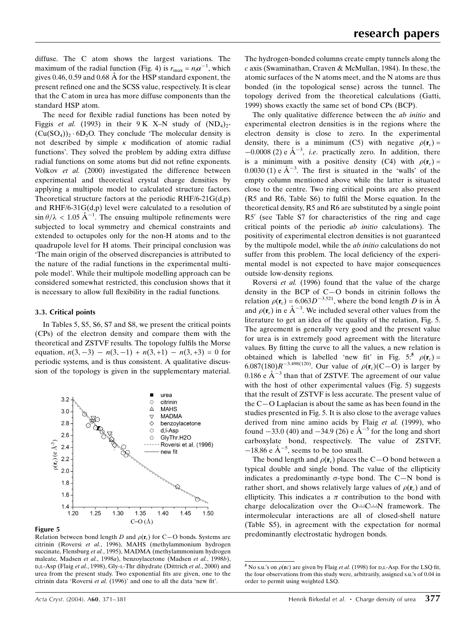diffuse. The C atom shows the largest variations. The maximum of the radial function (Fig. 4) is  $r_{\text{max}} = n_l \alpha^{-1}$ , which gives 0.46, 0.59 and 0.68  $\AA$  for the HSP standard exponent, the present refined one and the SCSS value, respectively. It is clear that the C atom in urea has more diffuse components than the standard HSP atom.

The need for flexible radial functions has been noted by Figgis et al. (1993) in their 9 K X–N study of  $(ND_4)_{2-}$  $(Cu(SO_4))_2 \cdot 6D_2O$ . They conclude 'The molecular density is not described by simple  $\kappa$  modification of atomic radial functions'. They solved the problem by adding extra diffuse radial functions on some atoms but did not refine exponents. Volkov et al. (2000) investigated the difference between experimental and theoretical crystal charge densities by applying a multipole model to calculated structure factors. Theoretical structure factors at the periodic RHF/6-21G(d,p) and RHF/6-31G(d,p) level were calculated to a resolution of  $\sin \theta / \lambda < 1.05 \text{ Å}^{-1}$ . The ensuing multipole refinements were subjected to local symmetry and chemical constraints and extended to octupoles only for the non-H atoms and to the quadrupole level for H atoms. Their principal conclusion was `The main origin of the observed discrepancies is attributed to the nature of the radial functions in the experimental multipole model'. While their multipole modelling approach can be considered somewhat restricted, this conclusion shows that it is necessary to allow full flexibility in the radial functions.

#### 3.3. Critical points

In Tables 5, S5, S6, S7 and S8, we present the critical points (CPs) of the electron density and compare them with the theoretical and ZSTVF results. The topology fulfils the Morse equation,  $n(3, -3) - n(3, -1) + n(3, +1) - n(3, +3) = 0$  for periodic systems, and is thus consistent. A qualitative discussion of the topology is given in the supplementary material.



#### Figure 5

Relation between bond length D and  $\rho(\mathbf{r}_c)$  for C–O bonds. Systems are citrinin (Roversi et al., 1996), MAHS (methylammonium hydrogen succinate, Flensburg et al., 1995), MADMA (methylammonium hydrogen maleate, Madsen et al., 1998a), benzoylacetone (Madsen et al., 1998b), D,L-Asp (Flaig et al., 1998), Gly-L-Thr dihydrate (Dittrich et al., 2000) and urea from the present study. Two exponential fits are given, one to the citrinin data 'Roversi et al.  $(1996)$ ' and one to all the data 'new fit'.

The hydrogen-bonded columns create empty tunnels along the c axis (Swaminathan, Craven & McMullan, 1984). In these, the atomic surfaces of the N atoms meet, and the N atoms are thus bonded (in the topological sense) across the tunnel. The topology derived from the theoretical calculations (Gatti, 1999) shows exactly the same set of bond CPs (BCP).

The only qualitative difference between the *ab initio* and experimental electron densities is in the regions where the electron density is close to zero. In the experimental density, there is a minimum (C5) with negative  $\rho(\mathbf{r}_c)$  =  $-0.0008$  (2) e  $\text{\AA}^{-3}$ , *i.e.* practically zero. In addition, there is a minimum with a positive density (C4) with  $\rho(\mathbf{r}_c)$  =  $0.0030$  (1) e  $\AA^{-3}$ . The first is situated in the 'walls' of the empty column mentioned above while the latter is situated close to the centre. Two ring critical points are also present  $(R5$  and R6, Table S6) to fulfil the Morse equation. In the theoretical density, R5 and R6 are substituted by a single point R5<sup>'</sup> (see Table S7 for characteristics of the ring and cage critical points of the periodic ab initio calculations). The positivity of experimental electron densities is not guaranteed by the multipole model, while the ab initio calculations do not suffer from this problem. The local deficiency of the experimental model is not expected to have major consequences outside low-density regions.

Roversi et al. (1996) found that the value of the charge density in the BCP of  $C-O$  bonds in citrinin follows the relation  $\rho(\mathbf{r}_c) = 6.063D^{-3.521}$ , where the bond length D is in  $\AA$ and  $\rho(\mathbf{r}_c)$  in e  $\mathring{A}^{-3}$ . We included several other values from the literature to get an idea of the quality of the relation, Fig. 5. The agreement is generally very good and the present value for urea is in extremely good agreement with the literature values. By fitting the curve to all the values, a new relation is obtained which is labelled 'new fit' in Fig.  $5:5 \rho(\mathbf{r}_c) =$ 6.087(180) $R^{-3.498(120)}$ . Our value of  $\rho(\mathbf{r}_c)(C-\overline{O})$  is larger by 0.186 e  $\AA^{-3}$  than that of ZSTVF. The agreement of our value with the host of other experimental values (Fig. 5) suggests that the result of ZSTVF is less accurate. The present value of the  $C-O$  Laplacian is about the same as has been found in the studies presented in Fig. 5. It is also close to the average values derived from nine amino acids by Flaig et al. (1999), who found  $-33.0$  (40) and  $-34.9$  (26) e  $\AA^{-5}$  for the long and short carboxylate bond, respectively. The value of ZSTVF,  $-18.86$  e  $\AA^{-5}$ , seems to be too small.

The bond length and  $\rho(\mathbf{r}_c)$  places the C–O bond between a typical double and single bond. The value of the ellipticity indicates a predominantly  $\sigma$ -type bond. The C-N bond is rather short, and shows relatively large values of  $\rho(\mathbf{r}_c)$  and of ellipticity. This indicates a  $\pi$  contribution to the bond with charge delocalization over the  $O \rightarrow C \rightarrow N$  framework. The intermolecular interactions are all of closed-shell nature (Table S5), in agreement with the expectation for normal predominantly electrostatic hydrogen bonds.

<sup>&</sup>lt;sup>5</sup> No s.u.'s on  $\rho$ (**r**c) are given by Flaig *et al.* (1998) for D,L-Asp. For the LSQ fit, the four observations from this study were, arbitrarily, assigned s.u.'s of 0.04 in order to permit using weighted LSQ.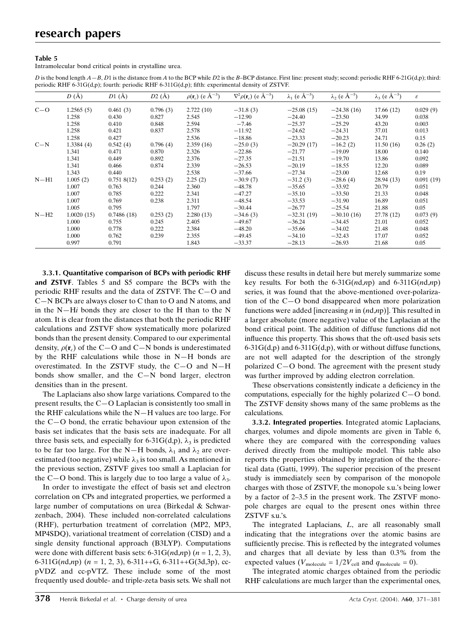Intramolecular bond critical points in crystalline urea.

D is the bond length  $A - B$ , D1 is the distance from A to the BCP while D2 is the B-BCP distance. First line: present study; second: periodic RHF 6-21G(d,p); third: periodic RHF 6-31G(d,p); fourth: periodic RHF 6-311G(d,p); fifth: experimental density of ZSTVF.

|         | $D(\AA)$   | $D1(\AA)$  | $D2(\AA)$ | $\rho(\mathbf{r}_c)$ (e $\rm \AA^{-3}$ ) | $\nabla^2 \rho(\mathbf{r}_c)$ (e Å <sup>-5</sup> ) | $\lambda_1$ (e $\rm \AA^{-5}$ ) | $\lambda_2$ (e $\rm \AA^{-5}$ ) | $\lambda_3$ (e $\AA^{-5}$ ) | $\boldsymbol{\varepsilon}$ |
|---------|------------|------------|-----------|------------------------------------------|----------------------------------------------------|---------------------------------|---------------------------------|-----------------------------|----------------------------|
| $C - O$ | 1.2565(5)  | 0.461(3)   | 0.796(3)  | 2.722(10)                                | $-31.8(3)$                                         | $-25.08(15)$                    | $-24.38(16)$                    | 17.66 (12)                  | 0.029(9)                   |
|         | 1.258      | 0.430      | 0.827     | 2.545                                    | $-12.90$                                           | $-24.40$                        | $-23.50$                        | 34.99                       | 0.038                      |
|         | 1.258      | 0.410      | 0.848     | 2.594                                    | $-7.46$                                            | $-25.37$                        | $-25.29$                        | 43.20                       | 0.003                      |
|         | 1.258      | 0.421      | 0.837     | 2.578                                    | $-11.92$                                           | $-24.62$                        | $-24.31$                        | 37.01                       | 0.013                      |
|         | 1.258      | 0.427      |           | 2.536                                    | $-18.86$                                           | $-23.33$                        | $-20.23$                        | 24.71                       | 0.15                       |
| $C-N$   | 1.3384(4)  | 0.542(4)   | 0.796(4)  | 2.359(16)                                | $-25.0(3)$                                         | $-20.29(17)$                    | $-16.2(2)$                      | 11.50(16)                   | 0.26(2)                    |
|         | 1.341      | 0.471      | 0.870     | 2.326                                    | $-22.86$                                           | $-21.77$                        | $-19.09$                        | 18.00                       | 0.140                      |
|         | 1.341      | 0.449      | 0.892     | 2.376                                    | $-27.35$                                           | $-21.51$                        | $-19.70$                        | 13.86                       | 0.092                      |
|         | 1.341      | 0.466      | 0.874     | 2.339                                    | $-26.53$                                           | $-20.19$                        | $-18.55$                        | 12.20                       | 0.089                      |
|         | 1.343      | 0.440      |           | 2.538                                    | $-37.66$                                           | $-27.34$                        | $-23.00$                        | 12.68                       | 0.19                       |
| $N-H1$  | 1.005(2)   | 0.7518(12) | 0.253(2)  | 2.25(2)                                  | $-30.9(7)$                                         | $-31.2(3)$                      | $-28.6(4)$                      | 28.94(13)                   | 0.091(19)                  |
|         | 1.007      | 0.763      | 0.244     | 2.360                                    | $-48.78$                                           | $-35.65$                        | $-33.92$                        | 20.79                       | 0.051                      |
|         | 1.007      | 0.785      | 0.222     | 2.341                                    | $-47.27$                                           | $-35.10$                        | $-33.50$                        | 21.33                       | 0.048                      |
|         | 1.007      | 0.769      | 0.238     | 2.311                                    | $-48.54$                                           | $-33.53$                        | $-31.90$                        | 16.89                       | 0.051                      |
|         | 1.005      | 0.795      |           | 1.797                                    | $-30.44$                                           | $-26.77$                        | $-25.54$                        | 21.88                       | 0.05                       |
| $N-H2$  | 1.0020(15) | 0.7486(18) | 0.253(2)  | 2.280(13)                                | $-34.6(3)$                                         | $-32.31(19)$                    | $-30.10(16)$                    | 27.78 (12)                  | 0.073(9)                   |
|         | 1.000      | 0.755      | 0.245     | 2.405                                    | $-49.67$                                           | $-36.24$                        | $-34.45$                        | 21.01                       | 0.052                      |
|         | 1.000      | 0.778      | 0.222     | 2.384                                    | $-48.20$                                           | $-35.66$                        | $-34.02$                        | 21.48                       | 0.048                      |
|         | 1.000      | 0.762      | 0.239     | 2.355                                    | $-49.45$                                           | $-34.10$                        | $-32.43$                        | 17.07                       | 0.052                      |
|         | 0.997      | 0.791      |           | 1.843                                    | $-33.37$                                           | $-28.13$                        | $-26.93$                        | 21.68                       | 0.05                       |

3.3.1. Quantitative comparison of BCPs with periodic RHF and ZSTVF. Tables 5 and S5 compare the BCPs with the periodic RHF results and the data of ZSTVF. The  $C-O$  and  $C-N$  BCPs are always closer to C than to O and N atoms, and in the  $N-Hi$  bonds they are closer to the H than to the N atom. It is clear from the distances that both the periodic RHF calculations and ZSTVF show systematically more polarized bonds than the present density. Compared to our experimental density,  $\rho(\mathbf{r}_c)$  of the C–O and C–N bonds is underestimated by the RHF calculations while those in  $N-H$  bonds are overestimated. In the ZSTVF study, the  $C-O$  and  $N-H$ bonds show smaller, and the  $C-N$  bond larger, electron densities than in the present.

The Laplacians also show large variations. Compared to the present results, the  $C-O$  Laplacian is consistently too small in the RHF calculations while the  $N-H$  values are too large. For the  $C$ -O bond, the erratic behaviour upon extension of the basis set indicates that the basis sets are inadequate. For all three basis sets, and especially for 6-31G(d,p),  $\lambda_3$  is predicted to be far too large. For the N–H bonds,  $\lambda_1$  and  $\lambda_2$  are overestimated (too negative) while  $\lambda_3$  is too small. As mentioned in the previous section, ZSTVF gives too small a Laplacian for the C–O bond. This is largely due to too large a value of  $\lambda_3$ .

In order to investigate the effect of basis set and electron correlation on CPs and integrated properties, we performed a large number of computations on urea (Birkedal & Schwarzenbach, 2004). These included non-correlated calculations (RHF), perturbation treatment of correlation (MP2, MP3, MP4SDQ), variational treatment of correlation (CISD) and a single density functional approach (B3LYP). Computations were done with different basis sets: 6-31G( $nd, np$ ) ( $n = 1, 2, 3$ ), 6-311G( $nd, np$ ) ( $n = 1, 2, 3$ ), 6-311++G, 6-311++G(3d,3p), ccpVDZ and cc-pVTZ. These include some of the most frequently used double- and triple-zeta basis sets. We shall not discuss these results in detail here but merely summarize some key results. For both the  $6-31G(nd,np)$  and  $6-311G(nd,np)$ series, it was found that the above-mentioned over-polarization of the  $C$ -O bond disappeared when more polarization functions were added [increasing  $n$  in  $(nd, np)$ ]. This resulted in a larger absolute (more negative) value of the Laplacian at the bond critical point. The addition of diffuse functions did not influence this property. This shows that the oft-used basis sets  $6-31G(d,p)$  and  $6-311G(d,p)$ , with or without diffuse functions, are not well adapted for the description of the strongly polarized  $C$ —O bond. The agreement with the present study was further improved by adding electron correlation.

These observations consistently indicate a deficiency in the computations, especially for the highly polarized  $C-O$  bond. The ZSTVF density shows many of the same problems as the calculations.

3.3.2. Integrated properties. Integrated atomic Laplacians, charges, volumes and dipole moments are given in Table 6, where they are compared with the corresponding values derived directly from the multipole model. This table also reports the properties obtained by integration of the theoretical data (Gatti, 1999). The superior precision of the present study is immediately seen by comparison of the monopole charges with those of ZSTVF, the monopole s.u.'s being lower by a factor of 2–3.5 in the present work. The ZSTVF monopole charges are equal to the present ones within three ZSTVF s.u.'s.

The integrated Laplacians, L, are all reasonably small indicating that the integrations over the atomic basins are sufficiently precise. This is reflected by the integrated volumes and charges that all deviate by less than 0.3% from the expected values ( $V_{\text{molecule}} = 1/2V_{\text{cell}}$  and  $q_{\text{molecule}} = 0$ ).

The integrated atomic charges obtained from the periodic RHF calculations are much larger than the experimental ones,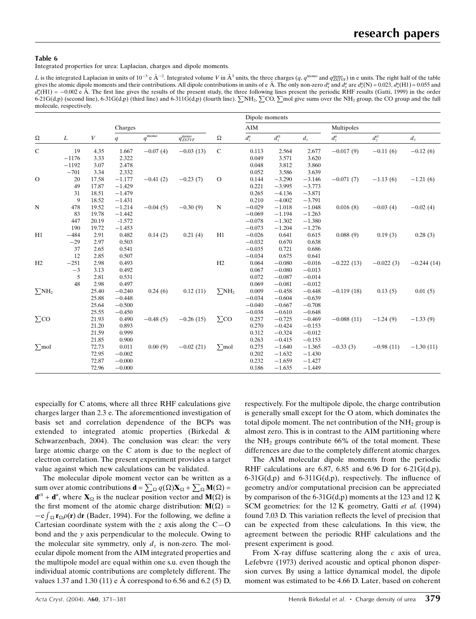Integrated properties for urea: Laplacian, charges and dipole moments.

L is the integrated Laplacian in units of 10<sup>-5</sup> e Å<sup>-2</sup>. Integrated volume V in Å<sup>3</sup> units, the three charges  $(q, q^{\text{mono}}$  and  $q^{\text{mono}}_{ZSTVF}$ ) in e units. The right half of the table gives the atomic dipole moments and their contributions. All dipole contributions in units of e Å. The only non-zero  $d_x^a$  and  $d_y^a$  are  $d_x^a(N) = 0.023$ ,  $d_x^a(H1) = 0.055$  and  $d_y^a(H1) = -0.002$  e Å. The first line gives the results of the present study, the three following lines present the periodic RHF results (Gatti, 1999) in the order  $6-21G(d,p)$  (second line),  $6-31G(d,p)$  (third line) and  $6-311G(d,p)$  (fourth line).  $\sum NH_2$ ,  $\sum CO$ ,  $\sum$ mol give sums over the NH<sub>2</sub> group, the CO group and the full molecule, respectively.

|                        |          |       |                |                              |                        |                          | Dipole moments |                |          |              |                |              |
|------------------------|----------|-------|----------------|------------------------------|------------------------|--------------------------|----------------|----------------|----------|--------------|----------------|--------------|
|                        | $\cal L$ |       | Charges        |                              |                        |                          | AIM            |                |          | Multipoles   |                |              |
| $\Omega$               |          | V     | $\overline{q}$ | $q^{\overline{\text{mono}}}$ | $q_{ZSTVF}^{\rm mono}$ | $\Omega$                 | $d_z^a$        | $d_z^{\rm ct}$ | $d_z\,$  | $d_z^a$      | $d_z^{\rm ct}$ | $d_z\,$      |
| $\mathbf C$            | 19       | 4.35  | 1.667          | $-0.07(4)$                   | $-0.03(13)$            | $\mathbf C$              | 0.113          | 2.564          | 2.677    | $-0.017(9)$  | $-0.11(6)$     | $-0.12(6)$   |
|                        | $-1176$  | 3.33  | 2.322          |                              |                        |                          | 0.049          | 3.571          | 3.620    |              |                |              |
|                        | $-1192$  | 3.07  | 2.478          |                              |                        |                          | 0.048          | 3.812          | 3.860    |              |                |              |
|                        | $-701$   | 3.34  | 2.332          |                              |                        |                          | 0.052          | 3.586          | 3.639    |              |                |              |
| $\mathcal{O}$          | 20       | 17.58 | $-1.177$       | $-0.41(2)$                   | $-0.23(7)$             | $\mathcal{O}$            | 0.144          | $-3.290$       | $-3.146$ | $-0.071(7)$  | $-1.13(6)$     | $-1.21(6)$   |
|                        | 49       | 17.87 | $-1.429$       |                              |                        |                          | 0.221          | $-3.995$       | $-3.773$ |              |                |              |
|                        | 31       | 18.51 | $-1.479$       |                              |                        |                          | 0.265          | $-4.136$       | $-3.871$ |              |                |              |
|                        | 9        | 18.52 | $-1.431$       |                              |                        |                          | 0.210          | $-4.002$       | $-3.791$ |              |                |              |
| N                      | 478      | 19.52 | $-1.214$       | $-0.04(5)$                   | $-0.30(9)$             | $\mathbf N$              | $-0.029$       | $-1.018$       | $-1.048$ | 0.016(8)     | $-0.03(4)$     | $-0.02(4)$   |
|                        | 83       | 19.78 | $-1.442$       |                              |                        |                          | $-0.069$       | $-1.194$       | $-1.263$ |              |                |              |
|                        | 447      | 20.19 | $-1.572$       |                              |                        |                          | $-0.078$       | $-1.302$       | $-1.380$ |              |                |              |
|                        | 190      | 19.72 | $-1.453$       |                              |                        |                          | $-0.073$       | $-1.204$       | $-1.276$ |              |                |              |
| H1                     | $-484$   | 2.91  | 0.482          | 0.14(2)                      | 0.21(4)                | H1                       | $-0.026$       | 0.641          | 0.615    | 0.088(9)     | 0.19(3)        | 0.28(3)      |
|                        | $-29$    | 2.97  | 0.503          |                              |                        |                          | $-0.032$       | 0.670          | 0.638    |              |                |              |
|                        | 37       | 2.65  | 0.541          |                              |                        |                          | $-0.035$       | 0.721          | 0.686    |              |                |              |
|                        | 12       | 2.85  | 0.507          |                              |                        |                          | $-0.034$       | 0.675          | 0.641    |              |                |              |
| H2                     | $-251$   | 2.98  | 0.493          |                              |                        | H2                       | 0.064          | $-0.080$       | $-0.016$ | $-0.222(13)$ | $-0.022(3)$    | $-0.244(14)$ |
|                        | $-3$     | 3.13  | 0.492          |                              |                        |                          | 0.067          | $-0.080$       | $-0.013$ |              |                |              |
|                        | 5        | 2.81  | 0.531          |                              |                        |                          | 0.072          | $-0.087$       | $-0.014$ |              |                |              |
|                        | 48       | 2.98  | 0.497          |                              |                        |                          | 0.069          | $-0.081$       | $-0.012$ |              |                |              |
| $\sum$ NH <sub>2</sub> |          | 25.40 | $-0.240$       | 0.24(6)                      | 0.12(11)               | $\Sigma$ NH <sub>2</sub> | 0.009          | $-0.458$       | $-0.448$ | $-0.119(18)$ | 0.13(5)        | 0.01(5)      |
|                        |          | 25.88 | $-0.448$       |                              |                        |                          | $-0.034$       | $-0.604$       | $-0.639$ |              |                |              |
|                        |          | 25.64 | $-0.500$       |                              |                        |                          | $-0.040$       | $-0.667$       | $-0.708$ |              |                |              |
|                        |          | 25.55 | $-0.450$       |                              |                        |                          | $-0.038$       | $-0.610$       | $-0.648$ |              |                |              |
| $\Sigma$ co            |          | 21.93 | 0.490          | $-0.48(5)$                   | $-0.26(15)$            | $\Sigma$ co              | 0.257          | $-0.725$       | $-0.469$ | $-0.088(11)$ | $-1.24(9)$     | $-1.33(9)$   |
|                        |          | 21.20 | 0.893          |                              |                        |                          | 0.270          | $-0.424$       | $-0.153$ |              |                |              |
|                        |          | 21.59 | 0.999          |                              |                        |                          | 0.312          | $-0.324$       | $-0.012$ |              |                |              |
|                        |          | 21.85 | 0.900          |                              |                        |                          | 0.263          | $-0.415$       | $-0.153$ |              |                |              |
| $\sum$ mol             |          | 72.73 | 0.011          | 0.00(9)                      | $-0.02(21)$            | $\sum$ mol               | 0.275          | $-1.640$       | $-1.365$ | $-0.33(3)$   | $-0.98(11)$    | $-1.30(11)$  |
|                        |          | 72.95 | $-0.002$       |                              |                        |                          | 0.202          | $-1.632$       | $-1.430$ |              |                |              |
|                        |          | 72.87 | $-0.000$       |                              |                        |                          | 0.232          | $-1.659$       | $-1.427$ |              |                |              |
|                        |          | 72.96 | $-0.000$       |                              |                        |                          | 0.186          | $-1.635$       | $-1.449$ |              |                |              |

especially for C atoms, where all three RHF calculations give charges larger than 2.3 e. The aforementioned investigation of basis set and correlation dependence of the BCPs was extended to integrated atomic properties (Birkedal & Schwarzenbach, 2004). The conclusion was clear: the very large atomic charge on the C atom is due to the neglect of electron correlation. The present experiment provides a target value against which new calculations can be validated.

The molecular dipole moment vector can be written as a sum over atomic contributions  $\mathbf{d} = \sum_{\Omega} q(\Omega) \mathbf{X}_{\Omega} + \sum_{\Omega} \mathbf{M}(\Omega) =$  $\mathbf{d}^{\mathrm{ct}} + \mathbf{d}^a$ , where  $\mathbf{X}_{\Omega}$  is the nuclear position vector and  $\mathbf{M}(\Omega)$  is the first moment of the atomic charge distribution:  $M(\Omega)$  =  $-e \int_{\Omega} \mathbf{r}_{\Omega} \rho(\mathbf{r}) d\mathbf{r}$  (Bader, 1994). For the following, we define a Cartesian coordinate system with the z axis along the  $C-O$ bond and the y axis perpendicular to the molecule. Owing to the molecular site symmetry, only  $d_z$  is non-zero. The molecular dipole moment from the AIM integrated properties and the multipole model are equal within one s.u. even though the individual atomic contributions are completely different. The values 1.37 and 1.30 (11) e  $\dot{A}$  correspond to 6.56 and 6.2 (5) D, respectively. For the multipole dipole, the charge contribution is generally small except for the O atom, which dominates the total dipole moment. The net contribution of the  $NH<sub>2</sub>$  group is almost zero. This is in contrast to the AIM partitioning where the  $NH<sub>2</sub>$  groups contribute 66% of the total moment. These differences are due to the completely different atomic charges.

The AIM molecular dipole moments from the periodic RHF calculations are 6.87, 6.85 and 6.96 D for 6-21 $G(d,p)$ ,  $6-31G(d,p)$  and  $6-311G(d,p)$ , respectively. The influence of geometry and/or computational precision can be appreciated by comparison of the 6-31G(d,p) moments at the 123 and 12 K SCM geometries: for the 12 K geometry, Gatti et al. (1994) found 7.03 D. This variation reflects the level of precision that can be expected from these calculations. In this view, the agreement between the periodic RHF calculations and the present experiment is good.

From X-ray diffuse scattering along the  $c$  axis of urea, Lefebvre (1973) derived acoustic and optical phonon dispersion curves. By using a lattice dynamical model, the dipole moment was estimated to be 4.66 D. Later, based on coherent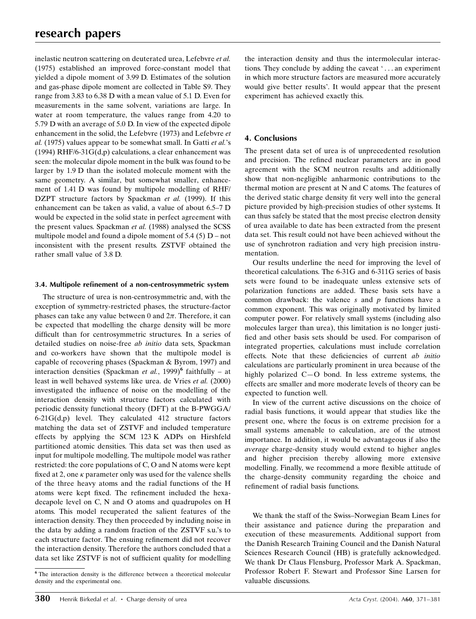inelastic neutron scattering on deuterated urea, Lefebvre et al. (1975) established an improved force-constant model that yielded a dipole moment of 3.99 D. Estimates of the solution and gas-phase dipole moment are collected in Table S9. They range from 3.83 to 6.38 D with a mean value of 5.1 D. Even for measurements in the same solvent, variations are large. In water at room temperature, the values range from 4.20 to 5.79 D with an average of 5.0 D. In view of the expected dipole enhancement in the solid, the Lefebvre (1973) and Lefebvre et al. (1975) values appear to be somewhat small. In Gatti et al.'s (1994) RHF/6-31 $G(d,p)$  calculations, a clear enhancement was seen: the molecular dipole moment in the bulk was found to be larger by 1.9 D than the isolated molecule moment with the same geometry. A similar, but somewhat smaller, enhancement of 1.41 D was found by multipole modelling of RHF/ DZPT structure factors by Spackman et al. (1999). If this enhancement can be taken as valid, a value of about  $6.5-7$  D would be expected in the solid state in perfect agreement with the present values. Spackman et al. (1988) analysed the SCSS multipole model and found a dipole moment of  $5.4$  (5) D – not inconsistent with the present results. ZSTVF obtained the rather small value of 3.8 D.

## 3.4. Multipole refinement of a non-centrosymmetric system

The structure of urea is non-centrosymmetric and, with the exception of symmetry-restricted phases, the structure-factor phases can take any value between 0 and  $2\pi$ . Therefore, it can be expected that modelling the charge density will be more difficult than for centrosymmetric structures. In a series of detailed studies on noise-free *ab initio* data sets, Spackman and co-workers have shown that the multipole model is capable of recovering phases (Spackman & Byrom, 1997) and interaction densities (Spackman et al., 1999)<sup>6</sup> faithfully – at least in well behaved systems like urea. de Vries et al. (2000) investigated the influence of noise on the modelling of the interaction density with structure factors calculated with periodic denssity functional theory (DFT) at the B-PWGGA/  $6-21G(d,p)$  level. They calculated 412 structure factors matching the data set of ZSTVF and included temperature effects by applying the SCM 123 K ADPs on Hirshfeld partitioned atomic densities. This data set was then used as input for multipole modelling. The multipole model was rather restricted: the core populations of C, O and N atoms were kept fixed at 2, one  $\kappa$  parameter only was used for the valence shells of the three heavy atoms and the radial functions of the H atoms were kept fixed. The refinement included the hexadecapole level on C, N and O atoms and quadrupoles on H atoms. This model recuperated the salient features of the interaction density. They then proceeded by including noise in the data by adding a random fraction of the ZSTVF s.u.'s to each structure factor. The ensuing refinement did not recover the interaction density. Therefore the authors concluded that a data set like ZSTVF is not of sufficient quality for modelling

the interaction density and thus the intermolecular interactions. They conclude by adding the caveat '... an experiment in which more structure factors are measured more accurately would give better results'. It would appear that the present experiment has achieved exactly this.

# 4. Conclusions

The present data set of urea is of unprecedented resolution and precision. The refined nuclear parameters are in good agreement with the SCM neutron results and additionally show that non-negligible anharmonic contributions to the thermal motion are present at N and C atoms. The features of the derived static charge density fit very well into the general picture provided by high-precision studies of other systems. It can thus safely be stated that the most precise electron density of urea available to date has been extracted from the present data set. This result could not have been achieved without the use of synchrotron radiation and very high precision instrumentation.

Our results underline the need for improving the level of theoretical calculations. The 6-31G and 6-311G series of basis sets were found to be inadequate unless extensive sets of polarization functions are added. These basis sets have a common drawback: the valence s and  $p$  functions have a common exponent. This was originally motivated by limited computer power. For relatively small systems (including also molecules larger than urea), this limitation is no longer justi fied and other basis sets should be used. For comparison of integrated properties, calculations must include correlation effects. Note that these deficiencies of current ab initio calculations are particularly prominent in urea because of the highly polarized  $C-O$  bond. In less extreme systems, the effects are smaller and more moderate levels of theory can be expected to function well.

In view of the current active discussions on the choice of radial basis functions, it would appear that studies like the present one, where the focus is on extreme precision for a small systems amenable to calculation, are of the utmost importance. In addition, it would be advantageous if also the average charge-density study would extend to higher angles and higher precision thereby allowing more extensive modelling. Finally, we recommend a more flexible attitude of the charge-density community regarding the choice and refinement of radial basis functions.

We thank the staff of the Swiss-Norwegian Beam Lines for their assistance and patience during the preparation and execution of these measurements. Additional support from the Danish Research Training Council and the Danish Natural Sciences Research Council (HB) is gratefully acknowledged. We thank Dr Claus Flensburg, Professor Mark A. Spackman, Professor Robert F. Stewart and Professor Sine Larsen for valuable discussions.

<sup>6</sup> The interaction density is the difference between a theoretical molecular density and the experimental one.